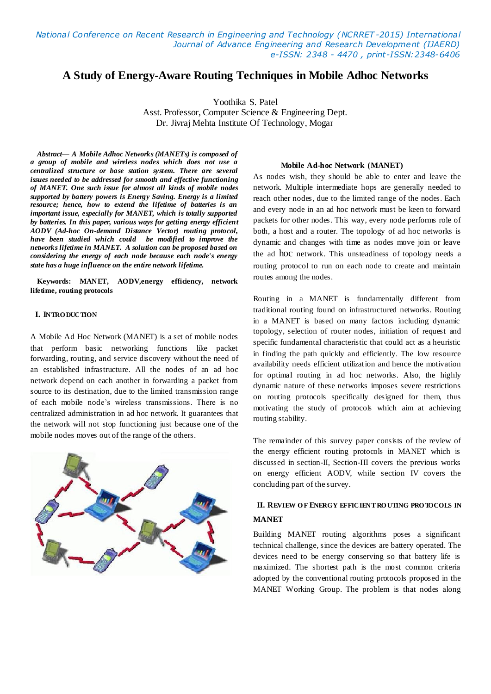*National Conference on Recent Research in Engineering and Technology (NCRRET -2015) International Journal of Advance Engineering and Research Development (IJAERD) e-ISSN: 2348 - 4470 , print-ISSN:2348-6406*

# **A Study of Energy-Aware Routing Techniques in Mobile Adhoc Networks**

Yoothika S. Patel

Asst. Professor, Computer Science & Engineering Dept. Dr. Jivraj Mehta Institute Of Technology, Mogar

*Abstract— A Mobile Adhoc Networks (MANETs) is composed of a group of mobile and wireless nodes which does not use a centralized structure or base station system. There are several issues needed to be addressed for smooth and effective functioning of MANET. One such issue for almost all kinds of mobile nodes supported by battery powers is Energy Saving. Energy is a limited resource; hence, how to extend the lifetime of batteries is an important issue, especially for MANET, which is totally supported by batteries. In this paper, various ways for getting energy efficient AODV (Ad-hoc On-demand Distance Vector) routing protocol, have been studied which could be modified to improve the networks lifetime in MANET. A solution can be proposed based on considering the energy of each node because each node's energy state has a huge influence on the entire network lifetime.*

**Keywords: MANET, AODV,energy efficiency, network lifetime, routing protocols**

### **I. INTRO DUCTION**

A Mobile Ad Hoc Network (MANET) is a set of mobile nodes that perform basic networking functions like packet forwarding, routing, and service discovery without the need of an established infrastructure. All the nodes of an ad hoc network depend on each another in forwarding a packet from source to its destination, due to the limited transmission range of each mobile node's wireless transmissions. There is no centralized administration in ad hoc network. It guarantees that the network will not stop functioning just because one of the mobile nodes moves out of the range of the others.



#### **Mobile Ad-hoc Network (MANET)**

As nodes wish, they should be able to enter and leave the network. Multiple intermediate hops are generally needed to reach other nodes, due to the limited range of the nodes. Each and every node in an ad hoc network must be keen to forward packets for other nodes. This way, every node performs role of both, a host and a router. The topology of ad hoc networks is dynamic and changes with time as nodes move join or leave the ad hoc network. This unsteadiness of topology needs a routing protocol to run on each node to create and maintain routes among the nodes.

Routing in a MANET is fundamentally different from traditional routing found on infrastructured networks. Routing in a MANET is based on many factors including dynamic topology, selection of router nodes, initiation of request and specific fundamental characteristic that could act as a heuristic in finding the path quickly and efficiently. The low resource availability needs efficient utilization and hence the motivation for optimal routing in ad hoc networks. Also, the highly dynamic nature of these networks imposes severe restrictions on routing protocols specifically designed for them, thus motivating the study of protocols which aim at achieving routing stability.

The remainder of this survey paper consists of the review of the energy efficient routing protocols in MANET which is discussed in section-II, Section-III covers the previous works on energy efficient AODV, while section IV covers the concluding part of the survey.

## **II. REVIEW O F ENERGY EFFICIENT RO UTING PRO TOCOLS IN MANET**

Building MANET routing algorithms poses a significant technical challenge, since the devices are battery operated. The devices need to be energy conserving so that battery life is maximized. The shortest path is the most common criteria adopted by the conventional routing protocols proposed in the MANET Working Group. The problem is that nodes along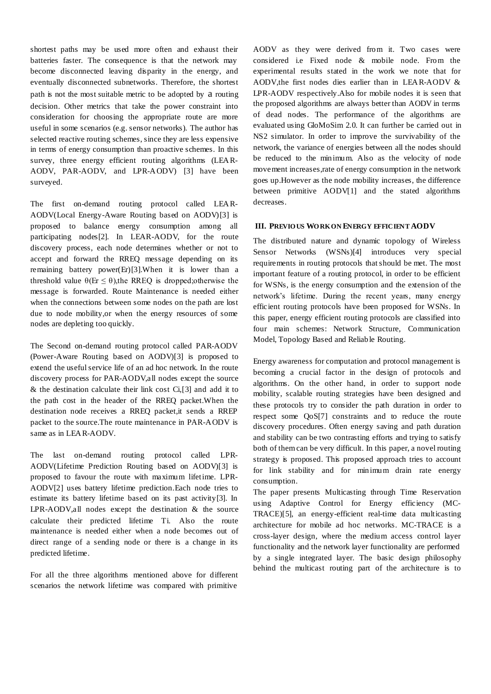shortest paths may be used more often and exhaust their batteries faster. The consequence is that the network may become disconnected leaving disparity in the energy, and eventually disconnected subnetworks. Therefore, the shortest path is not the most suitable metric to be adopted by a routing decision. Other metrics that take the power constraint into consideration for choosing the appropriate route are more useful in some scenarios (e.g. sensor networks). The author has selected reactive routing schemes, since they are less expensive in terms of energy consumption than proactive schemes. In this survey, three energy efficient routing algorithms (LEAR-AODV, PAR-AODV, and LPR-AODV) [3] have been surveyed.

The first on-demand routing protocol called LEAR-AODV(Local Energy-Aware Routing based on AODV)[3] is proposed to balance energy consumption among all participating nodes[2]. In LEAR-AODV, for the route discovery process, each node determines whether or not to accept and forward the RREQ message depending on its remaining battery power(Er)[3].When it is lower than a threshold value  $\theta$ (Er  $\leq \theta$ ), the RREQ is dropped; otherwise the message is forwarded. Route Maintenance is needed either when the connections between some nodes on the path are lost due to node mobility,or when the energy resources of some nodes are depleting too quickly.

The Second on-demand routing protocol called PAR-AODV (Power-Aware Routing based on AODV)[3] is proposed to extend the useful service life of an ad hoc network. In the route discovery process for PAR-AODV,all nodes except the source & the destination calculate their link cost Ci,[3] and add it to the path cost in the header of the RREQ packet.When the destination node receives a RREQ packet,it sends a RREP packet to the source.The route maintenance in PAR-AODV is same as in LEAR-AODV.

The last on-demand routing protocol called LPR-AODV(Lifetime Prediction Routing based on AODV)[3] is proposed to favour the route with maximum lifetime. LPR-AODV[2] uses battery lifetime prediction.Each node tries to estimate its battery lifetime based on its past activity[3]. In LPR-AODV,all nodes except the destination & the source calculate their predicted lifetime Ti. Also the route maintenance is needed either when a node becomes out of direct range of a sending node or there is a change in its predicted lifetime.

For all the three algorithms mentioned above for different scenarios the network lifetime was compared with primitive

AODV as they were derived from it. Two cases were considered i.e Fixed node & mobile node. From the experimental results stated in the work we note that for AODV,the first nodes dies earlier than in LEAR-AODV & LPR-AODV respectively.Also for mobile nodes it is seen that the proposed algorithms are always better than AODV in terms of dead nodes. The performance of the algorithms are evaluated using GloMoSim 2.0. It can further be carried out in NS2 simulator. In order to improve the survivability of the network, the variance of energies between all the nodes should be reduced to the minimum. Also as the velocity of node movement increases,rate of energy consumption in the network goes up.However as the node mobility increases, the difference between primitive AODV[1] and the stated algorithms decreases.

### **III. PREVIO US WO RK ON ENERGY EFFICIENT AODV**

The distributed nature and dynamic topology of Wireless Sensor Networks (WSNs)[4] introduces very special requirements in routing protocols that should be met. The most important feature of a routing protocol, in order to be efficient for WSNs, is the energy consumption and the extension of the network's lifetime. During the recent years, many energy efficient routing protocols have been proposed for WSNs. In this paper, energy efficient routing protocols are classified into four main schemes: Network Structure, Communication Model, Topology Based and Reliable Routing.

Energy awareness for computation and protocol management is becoming a crucial factor in the design of protocols and algorithms. On the other hand, in order to support node mobility, scalable routing strategies have been designed and these protocols try to consider the path duration in order to respect some QoS[7] constraints and to reduce the route discovery procedures. Often energy saving and path duration and stability can be two contrasting efforts and trying to satisfy both of them can be very difficult. In this paper, a novel routing strategy is proposed. This proposed approach tries to account for link stability and for minimum drain rate energy consumption.

The paper presents Multicasting through Time Reservation using Adaptive Control for Energy efficiency (MC-TRACE)[5], an energy-efficient real-time data multicasting architecture for mobile ad hoc networks. MC-TRACE is a cross-layer design, where the medium access control layer functionality and the network layer functionality are performed by a single integrated layer. The basic design philosophy behind the multicast routing part of the architecture is to